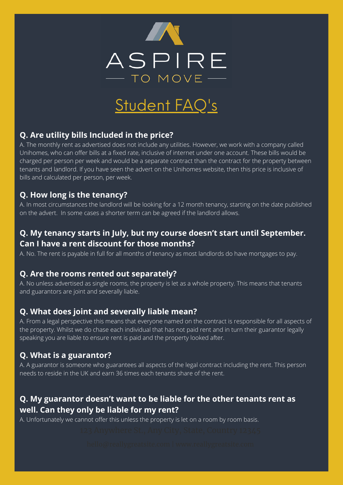

# Student FAQ's

#### **Q. Are utility bills Included in the price?**

A. The monthly rent as advertised does not include any utilities. However, we work with a company called Unihomes, who can offer bills at a fixed rate, inclusive of internet under one account. These bills would be charged per person per week and would be a separate contract than the contract for the property between tenants and landlord. If you have seen the advert on the Unihomes website, then this price is inclusive of bills and calculated per person, per week.

#### **Q. How long is the tenancy?**

A. In most circumstances the landlord will be looking for a 12 month tenancy, starting on the date published on the advert. In some cases a shorter term can be agreed if the landlord allows.

## **Q. My tenancy starts in July, but my course doesn't start until September. Can I have a rent discount for those months?**

A. No. The rent is payable in full for all months of tenancy as most landlords do have mortgages to pay.

#### **Q. Are the rooms rented out separately?**

A. No unless advertised as single rooms, the property is let as a whole property. This means that tenants and guarantors are joint and severally liable.

#### **Q. What does joint and severally liable mean?**

A. From a legal perspective this means that everyone named on the contract is responsible for all aspects of the property. Whilst we do chase each individual that has not paid rent and in turn their guarantor legally speaking you are liable to ensure rent is paid and the property looked after.

#### **Q. What is a guarantor?**

A. A guarantor is someone who guarantees all aspects of the legal contract including the rent. This person needs to reside in the UK and earn 36 times each tenants share of the rent.

### **Q. My guarantor doesn't want to be liable for the other tenants rent as well. Can they only be liable for my rent?**

A. Unfortunately we cannot offer this unless the property is let on a room by room basis.